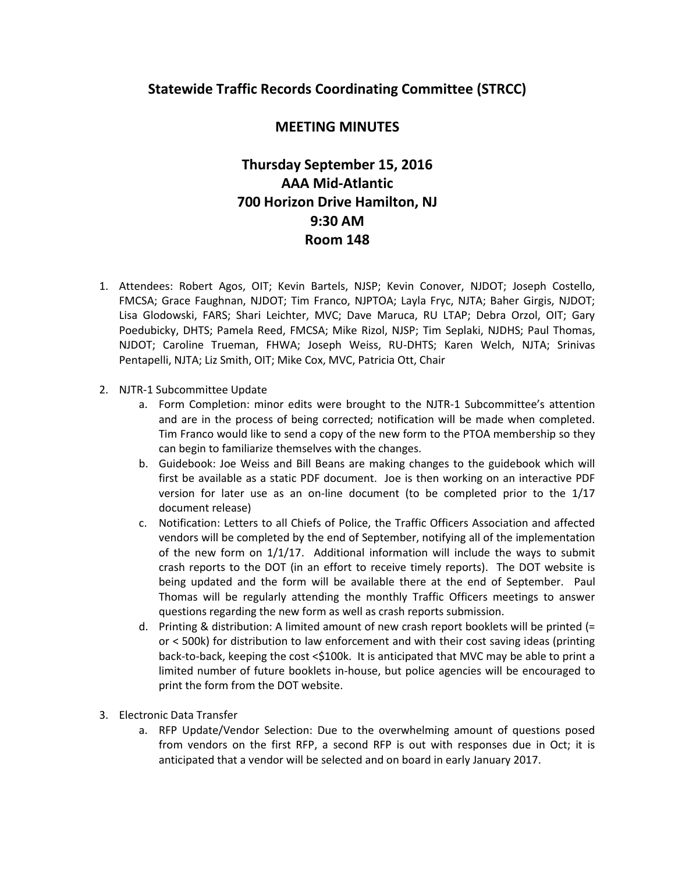## **Statewide Traffic Records Coordinating Committee (STRCC)**

## **MEETING MINUTES**

## **Thursday September 15, 2016 AAA Mid-Atlantic 700 Horizon Drive Hamilton, NJ 9:30 AM Room 148**

- 1. Attendees: Robert Agos, OIT; Kevin Bartels, NJSP; Kevin Conover, NJDOT; Joseph Costello, FMCSA; Grace Faughnan, NJDOT; Tim Franco, NJPTOA; Layla Fryc, NJTA; Baher Girgis, NJDOT; Lisa Glodowski, FARS; Shari Leichter, MVC; Dave Maruca, RU LTAP; Debra Orzol, OIT; Gary Poedubicky, DHTS; Pamela Reed, FMCSA; Mike Rizol, NJSP; Tim Seplaki, NJDHS; Paul Thomas, NJDOT; Caroline Trueman, FHWA; Joseph Weiss, RU-DHTS; Karen Welch, NJTA; Srinivas Pentapelli, NJTA; Liz Smith, OIT; Mike Cox, MVC, Patricia Ott, Chair
- 2. NJTR-1 Subcommittee Update
	- a. Form Completion: minor edits were brought to the NJTR-1 Subcommittee's attention and are in the process of being corrected; notification will be made when completed. Tim Franco would like to send a copy of the new form to the PTOA membership so they can begin to familiarize themselves with the changes.
	- b. Guidebook: Joe Weiss and Bill Beans are making changes to the guidebook which will first be available as a static PDF document. Joe is then working on an interactive PDF version for later use as an on-line document (to be completed prior to the 1/17 document release)
	- c. Notification: Letters to all Chiefs of Police, the Traffic Officers Association and affected vendors will be completed by the end of September, notifying all of the implementation of the new form on 1/1/17. Additional information will include the ways to submit crash reports to the DOT (in an effort to receive timely reports). The DOT website is being updated and the form will be available there at the end of September. Paul Thomas will be regularly attending the monthly Traffic Officers meetings to answer questions regarding the new form as well as crash reports submission.
	- d. Printing & distribution: A limited amount of new crash report booklets will be printed (= or < 500k) for distribution to law enforcement and with their cost saving ideas (printing back-to-back, keeping the cost <\$100k. It is anticipated that MVC may be able to print a limited number of future booklets in-house, but police agencies will be encouraged to print the form from the DOT website.
- 3. Electronic Data Transfer
	- a. RFP Update/Vendor Selection: Due to the overwhelming amount of questions posed from vendors on the first RFP, a second RFP is out with responses due in Oct; it is anticipated that a vendor will be selected and on board in early January 2017.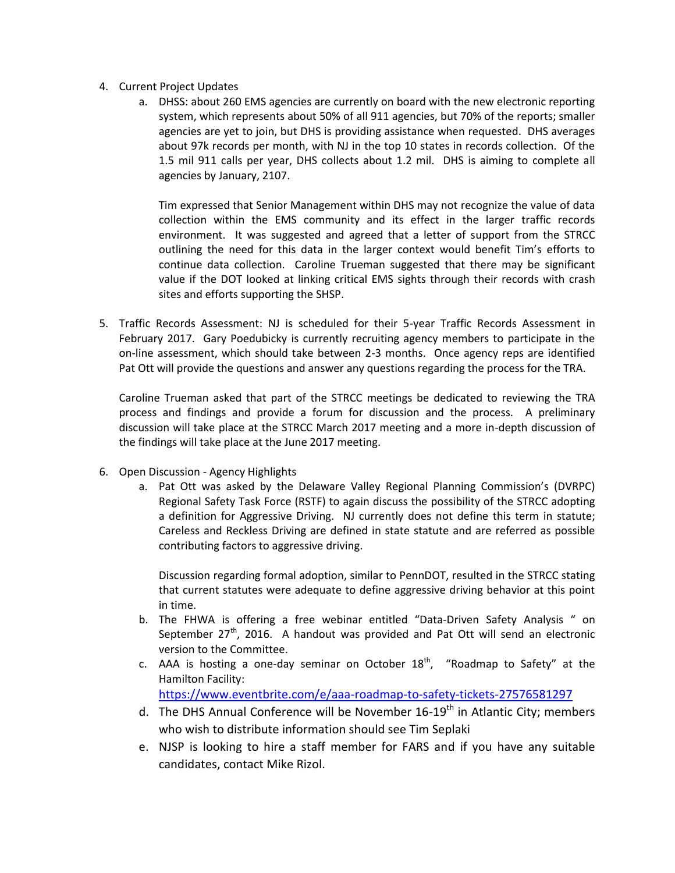- 4. Current Project Updates
	- a. DHSS: about 260 EMS agencies are currently on board with the new electronic reporting system, which represents about 50% of all 911 agencies, but 70% of the reports; smaller agencies are yet to join, but DHS is providing assistance when requested. DHS averages about 97k records per month, with NJ in the top 10 states in records collection. Of the 1.5 mil 911 calls per year, DHS collects about 1.2 mil. DHS is aiming to complete all agencies by January, 2107.

Tim expressed that Senior Management within DHS may not recognize the value of data collection within the EMS community and its effect in the larger traffic records environment. It was suggested and agreed that a letter of support from the STRCC outlining the need for this data in the larger context would benefit Tim's efforts to continue data collection. Caroline Trueman suggested that there may be significant value if the DOT looked at linking critical EMS sights through their records with crash sites and efforts supporting the SHSP.

5. Traffic Records Assessment: NJ is scheduled for their 5-year Traffic Records Assessment in February 2017. Gary Poedubicky is currently recruiting agency members to participate in the on-line assessment, which should take between 2-3 months. Once agency reps are identified Pat Ott will provide the questions and answer any questions regarding the process for the TRA.

Caroline Trueman asked that part of the STRCC meetings be dedicated to reviewing the TRA process and findings and provide a forum for discussion and the process. A preliminary discussion will take place at the STRCC March 2017 meeting and a more in-depth discussion of the findings will take place at the June 2017 meeting.

- 6. Open Discussion Agency Highlights
	- a. Pat Ott was asked by the Delaware Valley Regional Planning Commission's (DVRPC) Regional Safety Task Force (RSTF) to again discuss the possibility of the STRCC adopting a definition for Aggressive Driving. NJ currently does not define this term in statute; Careless and Reckless Driving are defined in state statute and are referred as possible contributing factors to aggressive driving.

Discussion regarding formal adoption, similar to PennDOT, resulted in the STRCC stating that current statutes were adequate to define aggressive driving behavior at this point in time.

- b. The FHWA is offering a free webinar entitled "Data-Driven Safety Analysis " on September  $27<sup>th</sup>$ , 2016. A handout was provided and Pat Ott will send an electronic version to the Committee.
- c. AAA is hosting a one-day seminar on October  $18<sup>th</sup>$ , "Roadmap to Safety" at the Hamilton Facility:

<https://www.eventbrite.com/e/aaa-roadmap-to-safety-tickets-27576581297>

- d. The DHS Annual Conference will be November 16-19<sup>th</sup> in Atlantic City; members who wish to distribute information should see Tim Seplaki
- e. NJSP is looking to hire a staff member for FARS and if you have any suitable candidates, contact Mike Rizol.